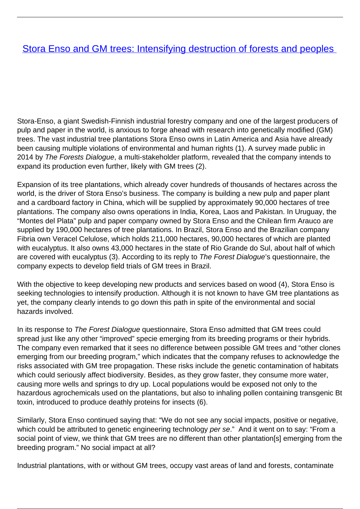## **[Stora Enso and GM trees: Intensifying destruction of forests and peoples](/bulletin-articles/stora-enso-and-gm-trees-intensifying-destruction-of-forests-and-peoples)**

Stora-Enso, a giant Swedish-Finnish industrial forestry company and one of the largest producers of pulp and paper in the world, is anxious to forge ahead with research into genetically modified (GM) trees. The vast industrial tree plantations Stora Enso owns in Latin America and Asia have already been causing multiple violations of environmental and human rights (1). A survey made public in 2014 by The Forests Dialogue, a multi-stakeholder platform, revealed that the company intends to expand its production even further, likely with GM trees (2).

Expansion of its tree plantations, which already cover hundreds of thousands of hectares across the world, is the driver of Stora Enso's business. The company is building a new pulp and paper plant and a cardboard factory in China, which will be supplied by approximately 90,000 hectares of tree plantations. The company also owns operations in India, Korea, Laos and Pakistan. In Uruguay, the "Montes del Plata" pulp and paper company owned by Stora Enso and the Chilean firm Arauco are supplied by 190,000 hectares of tree plantations. In Brazil, Stora Enso and the Brazilian company Fibria own Veracel Celulose, which holds 211,000 hectares, 90,000 hectares of which are planted with eucalyptus. It also owns 43,000 hectares in the state of Rio Grande do Sul, about half of which are covered with eucalyptus (3). According to its reply to The Forest Dialogue's questionnaire, the company expects to develop field trials of GM trees in Brazil.

With the objective to keep developing new products and services based on wood (4), Stora Enso is seeking technologies to intensify production. Although it is not known to have GM tree plantations as yet, the company clearly intends to go down this path in spite of the environmental and social hazards involved.

In its response to The Forest Dialogue questionnaire, Stora Enso admitted that GM trees could spread just like any other "improved" specie emerging from its breeding programs or their hybrids. The company even remarked that it sees no difference between possible GM trees and "other clones emerging from our breeding program," which indicates that the company refuses to acknowledge the risks associated with GM tree propagation. These risks include the genetic contamination of habitats which could seriously affect biodiversity. Besides, as they grow faster, they consume more water, causing more wells and springs to dry up. Local populations would be exposed not only to the hazardous agrochemicals used on the plantations, but also to inhaling pollen containing transgenic Bt toxin, introduced to produce deathly proteins for insects (6).

Similarly, Stora Enso continued saying that: "We do not see any social impacts, positive or negative, which could be attributed to genetic engineering technology per se." And it went on to say: "From a social point of view, we think that GM trees are no different than other plantation[s] emerging from the breeding program." No social impact at all?

Industrial plantations, with or without GM trees, occupy vast areas of land and forests, contaminate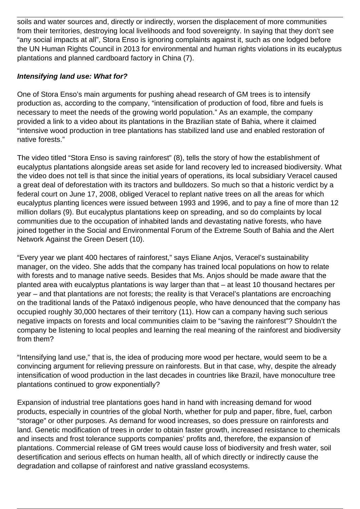soils and water sources and, directly or indirectly, worsen the displacement of more communities from their territories, destroying local livelihoods and food sovereignty. In saying that they don't see "any social impacts at all", Stora Enso is ignoring complaints against it, such as one lodged before the UN Human Rights Council in 2013 for environmental and human rights violations in its eucalyptus plantations and planned cardboard factory in China (7).

## **Intensifying land use: What for?**

One of Stora Enso's main arguments for pushing ahead research of GM trees is to intensify production as, according to the company, "intensification of production of food, fibre and fuels is necessary to meet the needs of the growing world population." As an example, the company provided a link to a video about its plantations in the Brazilian state of Bahia, where it claimed "intensive wood production in tree plantations has stabilized land use and enabled restoration of native forests."

The video titled "Stora Enso is saving rainforest" (8), tells the story of how the establishment of eucalyptus plantations alongside areas set aside for land recovery led to increased biodiversity. What the video does not tell is that since the initial years of operations, its local subsidiary Veracel caused a great deal of deforestation with its tractors and bulldozers. So much so that a historic verdict by a federal court on June 17, 2008, obliged Veracel to replant native trees on all the areas for which eucalyptus planting licences were issued between 1993 and 1996, and to pay a fine of more than 12 million dollars (9). But eucalyptus plantations keep on spreading, and so do complaints by local communities due to the occupation of inhabited lands and devastating native forests, who have joined together in the Social and Environmental Forum of the Extreme South of Bahia and the Alert Network Against the Green Desert (10).

"Every year we plant 400 hectares of rainforest," says Eliane Anjos, Veracel's sustainability manager, on the video. She adds that the company has trained local populations on how to relate with forests and to manage native seeds. Besides that Ms. Anjos should be made aware that the planted area with eucalyptus plantations is way larger than that – at least 10 thousand hectares per year – and that plantations are not forests; the reality is that Veracel's plantations are encroaching on the traditional lands of the Pataxó indigenous people, who have denounced that the company has occupied roughly 30,000 hectares of their territory (11). How can a company having such serious negative impacts on forests and local communities claim to be "saving the rainforest"? Shouldn't the company be listening to local peoples and learning the real meaning of the rainforest and biodiversity from them?

"Intensifying land use," that is, the idea of producing more wood per hectare, would seem to be a convincing argument for relieving pressure on rainforests. But in that case, why, despite the already intensification of wood production in the last decades in countries like Brazil, have monoculture tree plantations continued to grow exponentially?

Expansion of industrial tree plantations goes hand in hand with increasing demand for wood products, especially in countries of the global North, whether for pulp and paper, fibre, fuel, carbon "storage" or other purposes. As demand for wood increases, so does pressure on rainforests and land. Genetic modification of trees in order to obtain faster growth, increased resistance to chemicals and insects and frost tolerance supports companies' profits and, therefore, the expansion of plantations. Commercial release of GM trees would cause loss of biodiversity and fresh water, soil desertification and serious effects on human health, all of which directly or indirectly cause the degradation and collapse of rainforest and native grassland ecosystems.